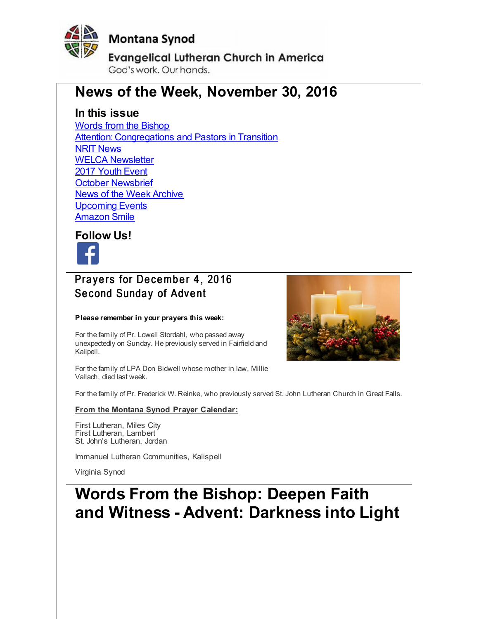<span id="page-0-0"></span>

# **Montana Synod**

**Evangelical Lutheran Church in America** God's work, Our hands,

# **News of the Week, November 30, 2016**

# **In this issue**

Words from the [Bishop](#page-0-0) **Attention: [Congregations](#page-0-0) and Pastors in Transition** NRIT [News](#page-0-0) WELCA [Newsletter](#page-0-0) 2017 [Youth](#page-0-0) Event October [Newsbrief](#page-0-0) News of the Week [Archive](#page-0-0) [Upcoming](#page-0-0) Events [Amazon](#page-0-0) Smile



# Pravers for December 4, 2016 Second Sunday of Advent

#### **Please remember in your prayers this week:**

For the family of Pr. Lowell Stordahl, who passed away unexpectedly on Sunday. He previously served in Fairfield and Kalipell.

For the family of LPA Don Bidwell whose mother in law, Millie Vallach, died last week.

For the family of Pr. Frederick W. Reinke, who previously served St. John Lutheran Church in Great Falls.

#### **From the Montana Synod Prayer Calendar:**

First Lutheran, Miles City First Lutheran, Lambert St. John's Lutheran, Jordan

Immanuel Lutheran Communities, Kalispell

Virginia Synod

# **Words From the Bishop: Deepen Faith and Witness - Advent: Darkness into Light**

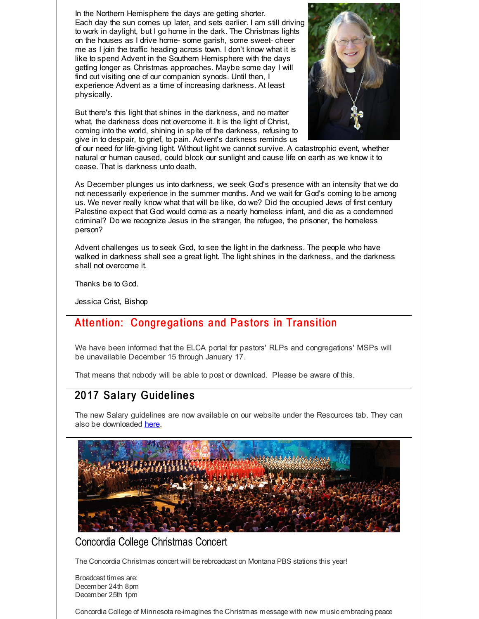In the Northern Hemisphere the days are getting shorter. Each day the sun comes up later, and sets earlier. I am still driving to work in daylight, but I go home in the dark. The Christmas lights on the houses as I drive home- some garish, some sweet- cheer me as I join the traffic heading across town. I don't know what it is like to spend Advent in the Southern Hemisphere with the days getting longer as Christmas approaches. Maybe some day I will find out visiting one of our companion synods. Until then, I experience Advent as a time of increasing darkness. At least physically.

But there's this light that shines in the darkness, and no matter what, the darkness does not overcome it. It is the light of Christ, coming into the world, shining in spite of the darkness, refusing to give in to despair, to grief, to pain. Advent's darkness reminds us



of our need for life-giving light. Without light we cannot survive. A catastrophic event, whether natural or human caused, could block our sunlight and cause life on earth as we know it to cease. That is darkness unto death.

As December plunges us into darkness, we seek God's presence with an intensity that we do not necessarily experience in the summer months. And we wait for God's coming to be among us. We never really know what that will be like, do we? Did the occupied Jews of first century Palestine expect that God would come as a nearly homeless infant, and die as a condemned criminal? Do we recognize Jesus in the stranger, the refugee, the prisoner, the homeless person?

Advent challenges us to seek God, to see the light in the darkness. The people who have walked in darkness shall see a great light. The light shines in the darkness, and the darkness shall not overcome it.

Thanks be to God.

Jessica Crist, Bishop

# Attention: Congregations and Pastors in Transition

We have been informed that the ELCA portal for pastors' RLPs and congregations' MSPs will be unavailable December 15 through January 17.

That means that nobody will be able to post or download. Please be aware of this.

# 2017 Salary Guidelines

The new Salary guidelines are now available on our website under the Resources tab. They can also be downloaded [here](http://r20.rs6.net/tn.jsp?f=001Azatfszd5CSuASQnQk4Z2UcQ5AtizQJfGryZU3mJytMUpmPoEg7CuuqrFLx7S2IlvCGItL6r-FsW6NNaCcHDkEHzUT24zC7znr6Kg8hEnpDTp3dSx8-3Zu8URuO9ZGfGY3puN-hGMDvJ9pbKdn7S2RLWtRcVevhXs6DX8s2RIHxj6NYrQLurkbHe0JSmCCVe6A_kgcxLOHQKoIU1GdC4MAGGqR4P-nC10e6C6so8Ifb2tGvlUuNB047E0v9S4VlFPnqNYuD2oCQffwHpoNrMbcswJgcuEXzF&c=&ch=).



### Concordia College Christmas Concert

The Concordia Christmas concert will be rebroadcast on Montana PBS stations this year!

Broadcast times are: December 24th 8pm December 25th 1pm

Concordia College of Minnesota re-imagines the Christmas message with new music embracing peace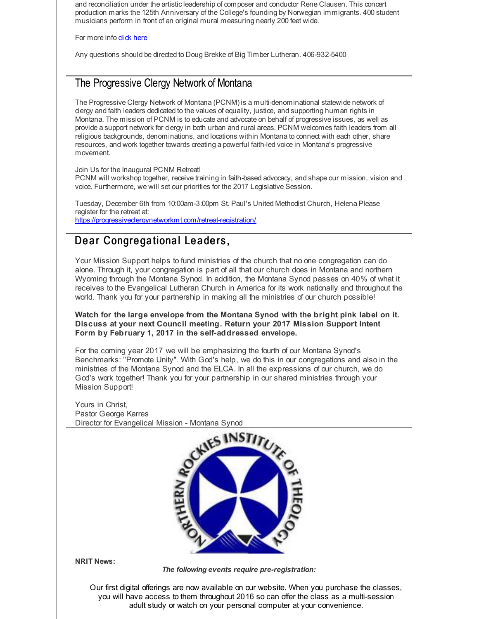and reconciliation under the artisticleadership of composer and conductor Rene Clausen. This concert production marks the 125th Anniversary of the College's founding by Norwegian immigrants. 400 student musicians perform in front of an original mural measuring nearly 200 feet wide.

For more info **[click](http://r20.rs6.net/tn.jsp?f=001Azatfszd5CSuASQnQk4Z2UcQ5AtizQJfGryZU3mJytMUpmPoEg7CujyVGA-rJG4sEWx3hw1S4JIdwtdvbyzqi51juItA1CgyzJThekga6VPlDdC9vepr2Z0HEoOL3_we45oxLI2xTh1jMEtv8JdDORJx6IWYC9CaF3K_ce0mnsqimNbQJaOcyugLN0GTBOlg20Q5IMX3MY4AD7VKpRiBCVRZCapNm8sGhsz6EMyTFms=&c=&ch=) here** 

Any questions should be directed to Doug Brekke of Big Timber Lutheran. 406-932-5400

### The Progressive Clergy Network of Montana

The Progressive Clergy Network of Montana (PCNM) is a multi-denominational statewide network of clergy and faith leaders dedicated to the values of equality, justice, and supporting human rights in Montana. The mission of PCNM is to educate and advocate on behalf of progressive issues, as well as provide a support network for clergy in both urban and rural areas. PCNM welcomes faith leaders from all religious backgrounds, denominations, and locations within Montana to connect with each other, share resources, and work together towards creating a powerful faith-led voice in Montana's progressive movement.

Join Us for the Inaugural PCNM Retreat!

PCNM will workshop together, receive training in faith-based advocacy, and shape our mission, vision and voice. Furthermore, we will set our priorities for the 2017 Legislative Session.

Tuesday, December 6th from 10:00am-3:00pm St. Paul's United Methodist Church, Helena Please register for the retreat at: [https://progressiveclergynetworkmt.com/retreat-registration/](http://r20.rs6.net/tn.jsp?f=001Azatfszd5CSuASQnQk4Z2UcQ5AtizQJfGryZU3mJytMUpmPoEg7CujyVGA-rJG4sZvZCB64f2UAVkGQysX3Wcbdtus4hg1hRTvfyg-SBJa-dyrDUh9dwyTaRyOKl6dUJ7CPvPHhp6ELKbarQjjrNc5Ac1dqwQ6psm7qJHXGwO3ocldJraNgt17s8q91_nsnhx2xsY-i9EEgwy8eVf4Q-Ih5_7EVQsimk&c=&ch=)

## Dear Congregational Leaders,

Your Mission Support helps to fund ministries of the church that no one congregation can do alone. Through it, your congregation is part of all that our church does in Montana and northern Wyoming through the Montana Synod. In addition, the Montana Synod passes on 40% of what it receives to the Evangelical Lutheran Church in America for its work nationally and throughout the world. Thank you for your partnership in making all the ministries of our church possible!

#### **Watch for the large envelope from the Montana Synod with the bright pink label on it. Discuss at your next Council meeting. Return your 2017 Mission Support Intent Form by February 1, 2017 in the self-addressed envelope.**

For the coming year 2017 we will be emphasizing the fourth of our Montana Synod's Benchmarks: "Promote Unity". With God's help, we do this in our congregations and also in the ministries of the Montana Synod and the ELCA. In all the expressions of our church, we do God's work together! Thank you for your partnership in our shared ministries through your Mission Support!

Yours in Christ, Pastor George Karres Director for Evangelical Mission - Montana Synod



**NRIT News:**

*The following events require pre-registration:*

Our first digital offerings are now available on our website. When you purchase the classes, you will have access to them throughout 2016 so can offer the class as a multi-session adult study or watch on your personal computer at your convenience.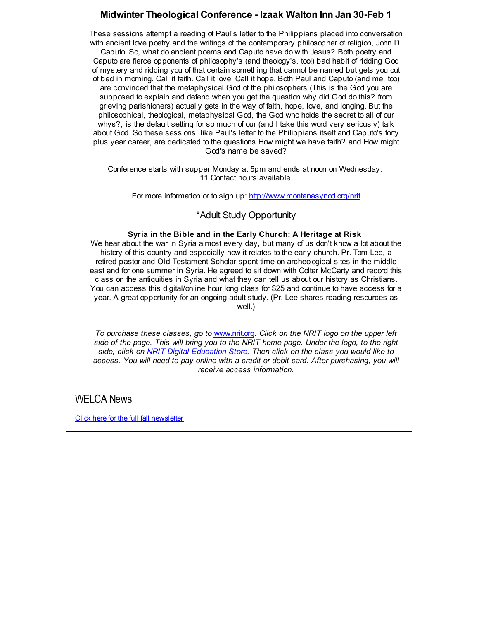#### **Midwinter Theological Conference - Izaak Walton Inn Jan 30-Feb 1**

These sessions attempt a reading of Paul's letter to the Philippians placed into conversation with ancient love poetry and the writings of the contemporary philosopher of religion, John D. Caputo. So, what do ancient poems and Caputo have do with Jesus? Both poetry and Caputo are fierce opponents of philosophy's (and theology's, too!) bad habit of ridding God of mystery and ridding you of that certain something that cannot be named but gets you out of bed in morning. Call it faith. Call it love. Call it hope. Both Paul and Caputo (and me, too) are convinced that the metaphysical God of the philosophers (This is the God you are supposed to explain and defend when you get the question why did God do this? from grieving parishioners) actually gets in the way of faith, hope, love, and longing. But the philosophical, theological, metaphysical God, the God who holds the secret to all of our whys?, is the default setting for so much of our (and I take this word very seriously) talk about God. So these sessions, like Paul's letter to the Philippians itself and Caputo's forty plus year career, are dedicated to the questions How might we have faith? and How might God's name be saved?

Conference starts with supper Monday at 5pm and ends at noon on Wednesday. 11 Contact hours available.

For more information or to sign up: [http://www.montanasynod.org/nrit](http://r20.rs6.net/tn.jsp?f=001Azatfszd5CSuASQnQk4Z2UcQ5AtizQJfGryZU3mJytMUpmPoEg7Cuq_2H9LFqRAud6AjOFQFGGBaLVUhXf3msrAUhZU_-kgwOYOsS6AndM7DsifS2SDznoPTN07IMhNIwWZQ3DACnPUCFJTb20pWPloEzxfBhJ_RuzN6izY7hkLDSGvLKGufZ6RERBCZdWO2&c=&ch=)

#### \*Adult Study Opportunity

#### **Syria in the Bible and in the Early Church: A Heritage at Risk**

We hear about the war in Syria almost every day, but many of us don't know a lot about the history of this country and especially how it relates to the early church. Pr. Tom Lee, a retired pastor and Old Testament Scholar spent time on archeological sites in the middle east and for one summer in Syria. He agreed to sit down with Colter McCarty and record this class on the antiquities in Syria and what they can tell us about our history as Christians. You can access this digital/online hour long class for \$25 and continue to have access for a year. A great opportunity for an ongoing adult study. (Pr. Lee shares reading resources as well.)

*To purchase these classes, go to* [www.nrit.org](http://r20.rs6.net/tn.jsp?f=001Azatfszd5CSuASQnQk4Z2UcQ5AtizQJfGryZU3mJytMUpmPoEg7Cuq_2H9LFqRAud6AjOFQFGGBaLVUhXf3msrAUhZU_-kgwOYOsS6AndM7DsifS2SDznoPTN07IMhNIwWZQ3DACnPUCFJTb20pWPloEzxfBhJ_RuzN6izY7hkLDSGvLKGufZ6RERBCZdWO2&c=&ch=)*. Click on the NRIT logo on the upper left side of the page. This will bring you to the NRIT home page. Under the logo, to the right side, click on NRIT Digital [Education](http://r20.rs6.net/tn.jsp?f=001Azatfszd5CSuASQnQk4Z2UcQ5AtizQJfGryZU3mJytMUpmPoEg7CumSh6Rp2r8QGJTXjrKMEi_8Tupwn2DIrH466OC263Oir9ATC68YDlu1r9N1xfdblePFPcVTdK68STqwuEWuKjyJpOhD4fw9d-dIxs-WZx1ID3K8zgXDTqYeXlfKVadgszuTEgZ-xZwMdyFpUsWtjF63gFM25DYWYMBDvNUugc7mi2RMpu5XZE_o=&c=&ch=) Store. Then click on the class you would like to access. You will need to pay online with a credit or debit card. After purchasing, you will receive access information.*

#### WELCA News

Click here for the full fall [newsletter](http://r20.rs6.net/tn.jsp?f=001Azatfszd5CSuASQnQk4Z2UcQ5AtizQJfGryZU3mJytMUpmPoEg7CujyVGA-rJG4sC_QejU-nwMRQ3eNV4KZH6UNldoCptn0zzVX8CgZnSgaahpa34Tyzt7RTWgKrsaVGIVgql5dMRzrPi5tbrEeniL1GJF5OwVlcGCI6oA2vwo65KZ06rns-74tEMNPlhhs4fho3moyP42I=&c=&ch=)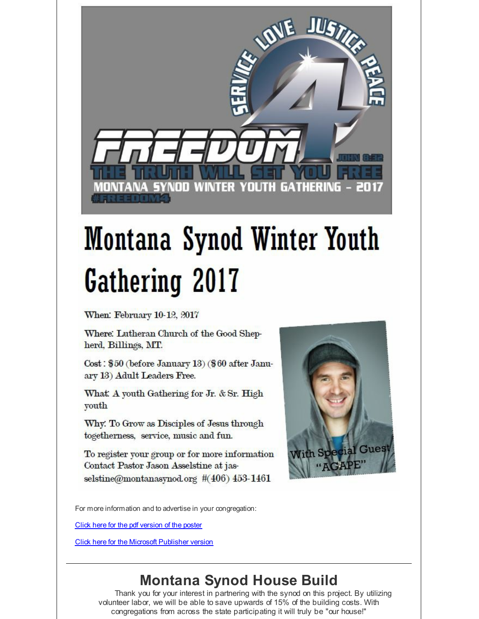

# **Montana Synod Winter Youth Gathering 2017**

When: February 10-12, 2017

Where: Lutheran Church of the Good Shepherd, Billings, MT.

Cost: \$50 (before January 13) (\$60 after January 13) Adult Leaders Free.

What A youth Gathering for Jr. & Sr. High youth

Why: To Grow as Disciples of Jesus through togetherness, service, music and fun.

To register your group or for more information Contact Pastor Jason Asselstine at jasselstine@montanasynod.org #(406) 453-1461



For more information and to advertise in your congregation:

Click here for the pdf [version](http://r20.rs6.net/tn.jsp?f=001Azatfszd5CSuASQnQk4Z2UcQ5AtizQJfGryZU3mJytMUpmPoEg7CuuqrFLx7S2Il68vsQltxUZ7Hq9pi7CxJCecCwGLPFT5RzaLk6jrX68yorFbnWIqcvwb4wvV-9NpJ8fC8MqsOXI2Jy_a1nl1cR0jaLdUog-bfxh_YIMnD8CKfB7kXnJLthA21uBnWK6cCf3D28YdQMHC_hfZhilbDPEhdgzEnMBmCHJeVAhGLQPbRQUdfmg_z3xZnjeinJKgSeUPemPmflvA=&c=&ch=) of the poster

**Click here for the Microsoft [Publisher](http://r20.rs6.net/tn.jsp?f=001Azatfszd5CSuASQnQk4Z2UcQ5AtizQJfGryZU3mJytMUpmPoEg7CuuqrFLx7S2IlEQArMlWDbT4MDCgjxWzW2jhvS-Rter1rv6oMmw9_4goRnuAH8xr45puXcK7g53LnSobqGq9iLQrUJ8LH9N1cxtDqdnPjAtuC-OtBzuwK1wYV7jAwq7izIw8kFqqzwrfBJMQrLn7o-rGiZNBnaGi4KUlSBduXQJ8Mt1PNenbjgCZGRJ3Kmg0ks4C3DdR0Fxw5YZEAADG9WI0=&c=&ch=) version** 

# **Montana Synod House Build**

Thank you for your interest in partnering with the synod on this project. By utilizing volunteer labor, we will be able to save upwards of 15% of the building costs. With congregations from across the state participating it will truly be "our house!"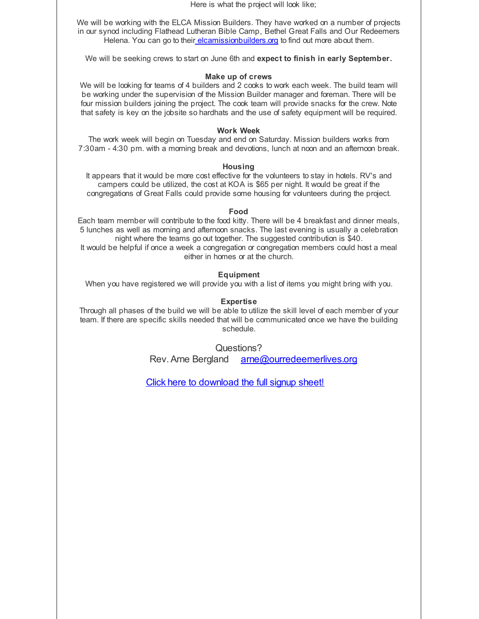Here is what the project will look like;

We will be working with the ELCA Mission Builders. They have worked on a number of projects in our synod including Flathead Lutheran Bible Camp, Bethel Great Falls and Our Redeemers Helena. You can go to their elcamissionbuilders org to find out more about them.

We will be seeking crews to start on June 6th and **expect to finish in early September.**

#### **Make up of crews**

We will be looking for teams of 4 builders and 2 cooks to work each week. The build team will be working under the supervision of the Mission Builder manager and foreman. There will be four mission builders joining the project. The cook team will provide snacks for the crew. Note that safety is key on the jobsite so hardhats and the use of safety equipment will be required.

#### **Work Week**

The work week will begin on Tuesday and end on Saturday. Mission builders works from 7:30am - 4:30 pm. with a morning break and devotions, lunch at noon and an afternoon break.

#### **Housing**

It appears that it would be more cost effective for the volunteers to stay in hotels. RV's and campers could be utilized, the cost at KOA is \$65 per night. It would be great if the congregations of Great Falls could provide some housing for volunteers during the project.

#### **Food**

Each team member will contribute to the food kitty. There will be 4 breakfast and dinner meals, 5 lunches as well as morning and afternoon snacks. The last evening is usually a celebration night where the teams go out together. The suggested contribution is \$40. It would be helpful if once a week a congregation or congregation members could host a meal either in homes or at the church.

#### **Equipment**

When you have registered we will provide you with a list of items you might bring with you.

#### **Expertise**

Through all phases of the build we will be able to utilize the skill level of each member of your team. If there are specific skills needed that will be communicated once we have the building schedule.

Questions?

Rev. Arne Bergland [arne@ourredeemerlives.org](mailto:arne@ourredeemerlives.org)

Click here to [download](http://r20.rs6.net/tn.jsp?f=001Azatfszd5CSuASQnQk4Z2UcQ5AtizQJfGryZU3mJytMUpmPoEg7CuuqrFLx7S2Ilac4OTDPfuZvdHoO-dFuPv_ZFbcFt4hueX-VW7Q-4m8KUmi_ztqoyUGHtOHxyC0OwXwK5XcB8NUJubrf0lNg3me5hsh7NAQHxwCd8GmwlEqRqtCVtsBsyINVSioGwlV06v2FCX7-1tBAx4Xf3Z14sjQx8jgm3LlQ9A8dkugP9yzwDagjp1yLmUDE7J3N04-zRaM-Tl-QDUxw=&c=&ch=) the full signup sheet!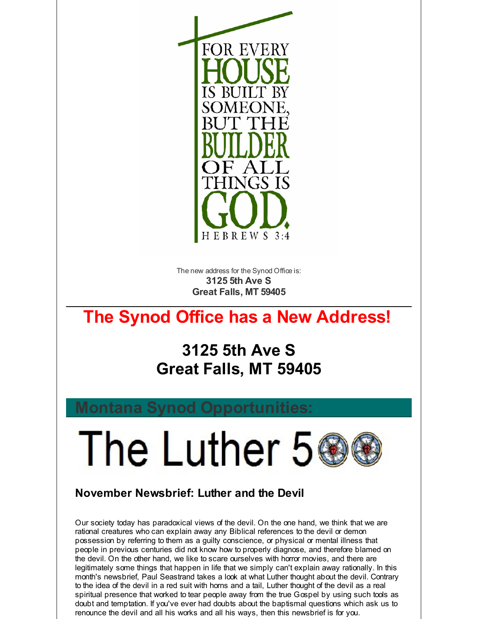

The new address for the Synod Office is: **3125 5th Ave S Great Falls, MT 59405**

# **The Synod Office has a New Address!**

# **3125 5th Ave S Great Falls, MT 59405**

The Luther 5

# **November Newsbrief: Luther and the Devil**

Our society today has paradoxical views of the devil. On the one hand, we think that we are rational creatures who can explain away any Biblical references to the devil or demon possession by referring to them as a guilty conscience, or physical or mental illness that people in previous centuries did not know how to properly diagnose, and therefore blamed on the devil. On the other hand, we like to scare ourselves with horror movies, and there are legitimately some things that happen in life that we simply can't explain away rationally. In this month's newsbrief, Paul Seastrand takes a look at what Luther thought about the devil. Contrary to the idea of the devil in a red suit with horns and a tail, Luther thought of the devil as a real spiritual presence that worked to tear people away from the true Gospel by using such tools as doubt and temptation. If you've ever had doubts about the baptismal questions which ask us to renounce the devil and all his works and all his ways, then this newsbrief is for you.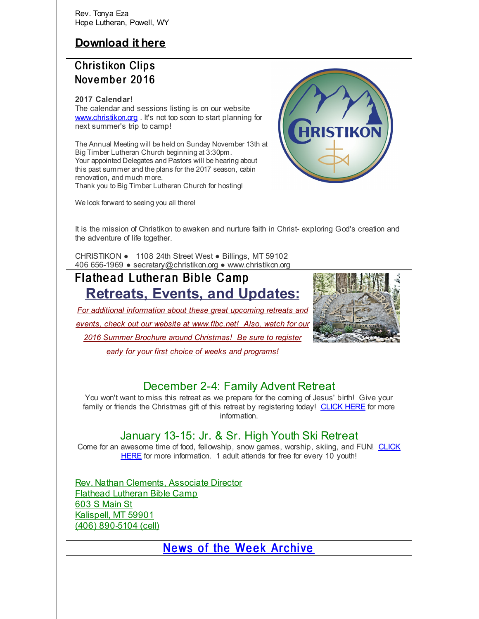Rev. Tonya Eza Hope Lutheran, Powell, WY

# **[Download](http://r20.rs6.net/tn.jsp?f=001Azatfszd5CSuASQnQk4Z2UcQ5AtizQJfGryZU3mJytMUpmPoEg7Cul7pks-COITSJUrQ_N8DjhBrDjvKms9ps18OOFQ5aN8j9ppwAImUpim2AT1tSDDrmnJoZvuLuBS-AwaF5e28qFYPzDHC-1HTXKFv3hd2TxozA3C6_rJI3Lv0vu66Y3MMdIe4Ss5bUXSQPRHpwR665Zc=&c=&ch=) it here**

# **Christikon Clips** November 2016

#### **2017 Calendar!**

The calendar and sessions listing is on our website [www.christikon.org](http://r20.rs6.net/tn.jsp?f=001Azatfszd5CSuASQnQk4Z2UcQ5AtizQJfGryZU3mJytMUpmPoEg7CunYW25o6V8JJC1Vq3jaZeqvFoDflQUpJ8UUtnzXI4bwiJdbw8PX4b0AUy2k_vgz7HQoT8GEOmo3iD332GQ8i4mYyQz8b0Z6oqw-GvLdMmIufxtd6B5Ws7Ns=&c=&ch=) . It's not too soon to start planning for next summer's trip to camp!

The Annual Meeting will be held on Sunday November 13th at Big Timber Lutheran Church beginning at 3:30pm. Your appointed Delegates and Pastors will be hearing about this past summer and the plans for the 2017 season, cabin renovation, and much more. Thank you to Big Timber Lutheran Church for hosting!

We look forward to seeing you all there!



It is the mission of Christikon to awaken and nurture faith in Christ- exploring God's creation and the adventure of life together.

CHRISTIKON ● 1108 24th Street West ● Billings, MT 59102 406 656-1969 ● secretary@christikon.org ● www.christikon.org

# Flathead Lutheran Bible Camp **Retreats, Events, and Updates:**

*For additional information about these great upcoming retreats and events, check out our website at [www.flbc.net](http://r20.rs6.net/tn.jsp?f=001Azatfszd5CSuASQnQk4Z2UcQ5AtizQJfGryZU3mJytMUpmPoEg7CurYra5TStIY_E2DaaBevtYk0nu0GKaOMeXe4vyw9ygmzV4KtPcfk_QXWYasyC1b_WrEIexdPocyZfZ6HbsCeqJFXOTn51hvkRixHdThLXrsSqRm_okYl0VCnf__FBumvqE-DwxMmzQzqo0U3aGWGFivvIE_kvjkiN3BBERfZdFpfocX4wZ9frczUBsXkSYv_-CIDJL9LOOSM&c=&ch=)! Also, watch for our 2016 Summer Brochure around Christmas! Be sure to register early for your first choice of weeks and programs!*



## December 2-4: Family Advent Retreat

You won't want to miss this retreat as we prepare for the coming of Jesus' birth! Give your family or friends the Christmas gift of this retreat by registering today! [CLICK](http://r20.rs6.net/tn.jsp?f=001Azatfszd5CSuASQnQk4Z2UcQ5AtizQJfGryZU3mJytMUpmPoEg7Cuv-Y-chDizF7EsvZl7BshkQlpsLB_OC0jhUu3K3kgsFQwQ3FZS39gpUeGOrBGoktfEPon-jcljlWeFe0qMbBstoICO_54Vhq4zexS1Raq6Dt07ug_qoowxjkilpAguJFHFfwtxdD477poTm-L8fLBmHZpp9A0MSW1w==&c=&ch=) HERE for more information.

# January 13-15: Jr. & Sr. High Youth Ski Retreat

Come for an awesome time of food, [fellowship,](http://r20.rs6.net/tn.jsp?f=001Azatfszd5CSuASQnQk4Z2UcQ5AtizQJfGryZU3mJytMUpmPoEg7CumSh6Rp2r8QGd3zPdzqeaLrycYmK80cSvKW0H8j-IpZeK7AR4-aD7o_kLb0AX4x09i2ZySEye0L7xAxseD-A8_KQstYQp8mkoV1bti4T5l-csCPArOw4Y6L92geBqeOpVYWGkB9sOmtwNs0Bbsf2nrjxG15JFn_BJP8w5BcjvaCA&c=&ch=) snow games, worship, skiing, and FUN! CLICK HERE for more information. 1 adult attends for free for every 10 youth!

Rev. Nathan Clements, Associate Director Flathead Lutheran Bible Camp 603 S Main St Kalispell, MT 59901 (406) 890-5104 (cell)

[News](http://r20.rs6.net/tn.jsp?f=001Azatfszd5CSuASQnQk4Z2UcQ5AtizQJfGryZU3mJytMUpmPoEg7CunTnv0zUFAs9O1wl1Wb_apEJsY6Q6Q3yKaods34d31mjJ8qNFH6v01BNku4jURX1k9Fh65FORqbSApOTJ0Ij2pmXQY52faNQi7J53bGGYy_vXXDdIZmuzqfxl9u_gDeVOrrJOEWGntNR3opQDLegIX2XkNMYc3071g==&c=&ch=) of the Week Archive